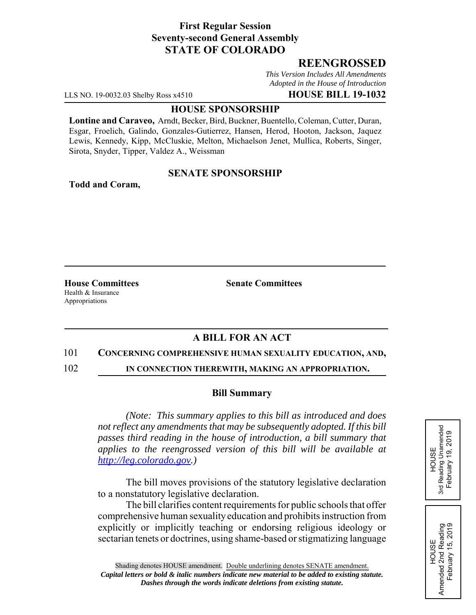# **First Regular Session Seventy-second General Assembly STATE OF COLORADO**

# **REENGROSSED**

*This Version Includes All Amendments Adopted in the House of Introduction*

LLS NO. 19-0032.03 Shelby Ross x4510 **HOUSE BILL 19-1032**

### **HOUSE SPONSORSHIP**

**Lontine and Caraveo,** Arndt, Becker, Bird, Buckner, Buentello, Coleman, Cutter, Duran, Esgar, Froelich, Galindo, Gonzales-Gutierrez, Hansen, Herod, Hooton, Jackson, Jaquez Lewis, Kennedy, Kipp, McCluskie, Melton, Michaelson Jenet, Mullica, Roberts, Singer, Sirota, Snyder, Tipper, Valdez A., Weissman

## **SENATE SPONSORSHIP**

**Todd and Coram,**

Health & Insurance Appropriations

**House Committees Senate Committees** 

# **A BILL FOR AN ACT**

### 101 **CONCERNING COMPREHENSIVE HUMAN SEXUALITY EDUCATION, AND,**

102 **IN CONNECTION THEREWITH, MAKING AN APPROPRIATION.**

### **Bill Summary**

*(Note: This summary applies to this bill as introduced and does not reflect any amendments that may be subsequently adopted. If this bill passes third reading in the house of introduction, a bill summary that applies to the reengrossed version of this bill will be available at http://leg.colorado.gov.)*

The bill moves provisions of the statutory legislative declaration to a nonstatutory legislative declaration.

The bill clarifies content requirements for public schools that offer comprehensive human sexuality education and prohibits instruction from explicitly or implicitly teaching or endorsing religious ideology or sectarian tenets or doctrines, using shame-based or stigmatizing language HOUSE<br>3rd Reading Unamended 3rd Reading Unamended February 19, 2019 February 19, 2019

HOUSE Amended 2nd Reading February 15, 2019

Amended 2nd Reading<br>February 15, 2019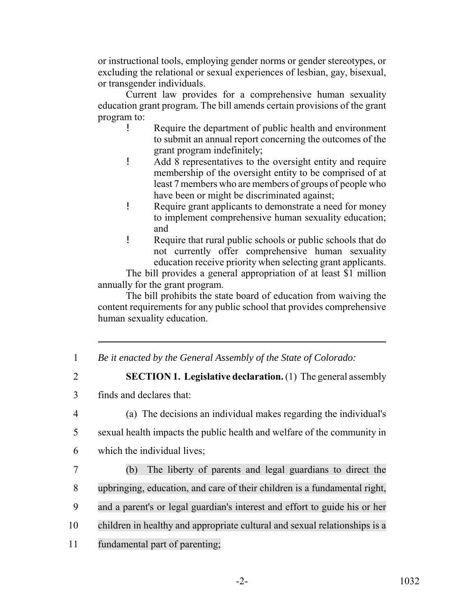or instructional tools, employing gender norms or gender stereotypes, or excluding the relational or sexual experiences of lesbian, gay, bisexual, or transgender individuals.

Current law provides for a comprehensive human sexuality education grant program. The bill amends certain provisions of the grant program to:

- ! Require the department of public health and environment to submit an annual report concerning the outcomes of the grant program indefinitely;
- ! Add 8 representatives to the oversight entity and require membership of the oversight entity to be comprised of at least 7 members who are members of groups of people who have been or might be discriminated against;
- ! Require grant applicants to demonstrate a need for money to implement comprehensive human sexuality education; and
- ! Require that rural public schools or public schools that do not currently offer comprehensive human sexuality education receive priority when selecting grant applicants.

The bill provides a general appropriation of at least \$1 million annually for the grant program.

The bill prohibits the state board of education from waiving the content requirements for any public school that provides comprehensive human sexuality education.

- 1 *Be it enacted by the General Assembly of the State of Colorado:*
- 

2 **SECTION 1. Legislative declaration.** (1) The general assembly

- 3 finds and declares that:
- 

4 (a) The decisions an individual makes regarding the individual's

- 5 sexual health impacts the public health and welfare of the community in
- 6 which the individual lives;
- 7 (b) The liberty of parents and legal guardians to direct the 8 upbringing, education, and care of their children is a fundamental right, 9 and a parent's or legal guardian's interest and effort to guide his or her 10 children in healthy and appropriate cultural and sexual relationships is a 11 fundamental part of parenting;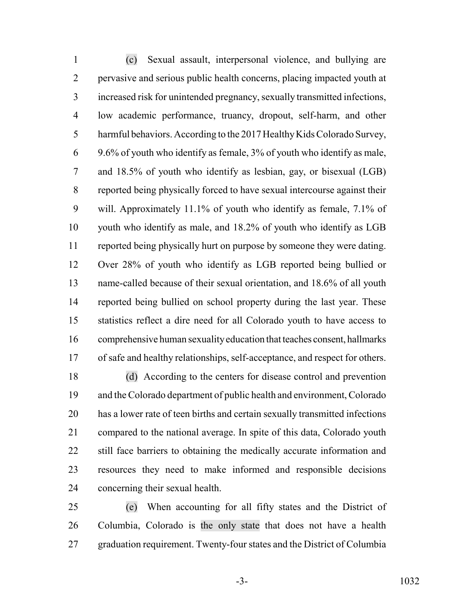(c) Sexual assault, interpersonal violence, and bullying are pervasive and serious public health concerns, placing impacted youth at increased risk for unintended pregnancy, sexually transmitted infections, low academic performance, truancy, dropout, self-harm, and other harmful behaviors. According to the 2017 Healthy Kids Colorado Survey, 9.6% of youth who identify as female, 3% of youth who identify as male, and 18.5% of youth who identify as lesbian, gay, or bisexual (LGB) reported being physically forced to have sexual intercourse against their will. Approximately 11.1% of youth who identify as female, 7.1% of youth who identify as male, and 18.2% of youth who identify as LGB reported being physically hurt on purpose by someone they were dating. Over 28% of youth who identify as LGB reported being bullied or name-called because of their sexual orientation, and 18.6% of all youth reported being bullied on school property during the last year. These statistics reflect a dire need for all Colorado youth to have access to comprehensive human sexuality education that teaches consent, hallmarks of safe and healthy relationships, self-acceptance, and respect for others.

 (d) According to the centers for disease control and prevention and the Colorado department of public health and environment, Colorado has a lower rate of teen births and certain sexually transmitted infections compared to the national average. In spite of this data, Colorado youth 22 still face barriers to obtaining the medically accurate information and resources they need to make informed and responsible decisions concerning their sexual health.

 (e) When accounting for all fifty states and the District of Columbia, Colorado is the only state that does not have a health graduation requirement. Twenty-four states and the District of Columbia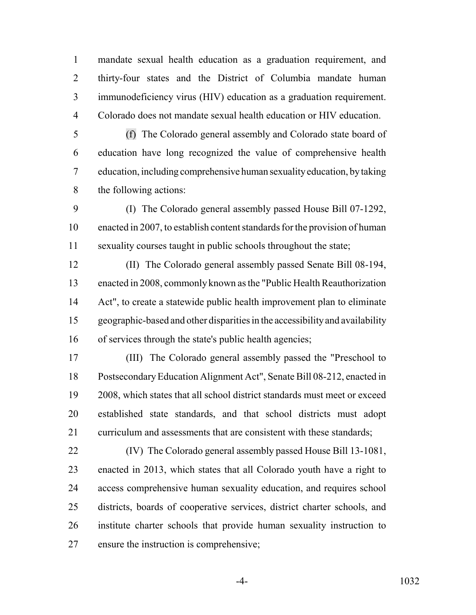mandate sexual health education as a graduation requirement, and thirty-four states and the District of Columbia mandate human immunodeficiency virus (HIV) education as a graduation requirement. Colorado does not mandate sexual health education or HIV education.

 (f) The Colorado general assembly and Colorado state board of education have long recognized the value of comprehensive health education, including comprehensive human sexuality education, by taking the following actions:

 (I) The Colorado general assembly passed House Bill 07-1292, enacted in 2007, to establish content standards for the provision of human sexuality courses taught in public schools throughout the state;

 (II) The Colorado general assembly passed Senate Bill 08-194, enacted in 2008, commonly known as the "Public Health Reauthorization Act", to create a statewide public health improvement plan to eliminate geographic-based and other disparities in the accessibility and availability of services through the state's public health agencies;

 (III) The Colorado general assembly passed the "Preschool to Postsecondary Education Alignment Act", Senate Bill 08-212, enacted in 2008, which states that all school district standards must meet or exceed established state standards, and that school districts must adopt curriculum and assessments that are consistent with these standards;

 (IV) The Colorado general assembly passed House Bill 13-1081, enacted in 2013, which states that all Colorado youth have a right to access comprehensive human sexuality education, and requires school districts, boards of cooperative services, district charter schools, and institute charter schools that provide human sexuality instruction to ensure the instruction is comprehensive;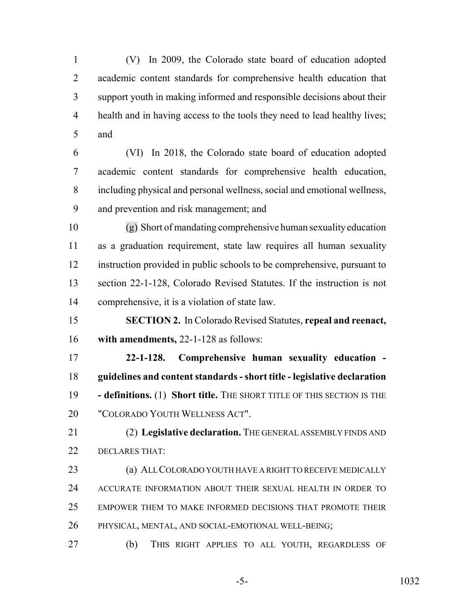(V) In 2009, the Colorado state board of education adopted academic content standards for comprehensive health education that support youth in making informed and responsible decisions about their health and in having access to the tools they need to lead healthy lives; and

 (VI) In 2018, the Colorado state board of education adopted academic content standards for comprehensive health education, including physical and personal wellness, social and emotional wellness, and prevention and risk management; and

 (g) Short of mandating comprehensive human sexuality education as a graduation requirement, state law requires all human sexuality instruction provided in public schools to be comprehensive, pursuant to section 22-1-128, Colorado Revised Statutes. If the instruction is not comprehensive, it is a violation of state law.

 **SECTION 2.** In Colorado Revised Statutes, **repeal and reenact, with amendments,** 22-1-128 as follows:

 **22-1-128. Comprehensive human sexuality education - guidelines and content standards - short title - legislative declaration - definitions.** (1) **Short title.** THE SHORT TITLE OF THIS SECTION IS THE "COLORADO YOUTH WELLNESS ACT".

 (2) **Legislative declaration.** THE GENERAL ASSEMBLY FINDS AND DECLARES THAT:

 (a) ALL COLORADO YOUTH HAVE A RIGHT TO RECEIVE MEDICALLY ACCURATE INFORMATION ABOUT THEIR SEXUAL HEALTH IN ORDER TO EMPOWER THEM TO MAKE INFORMED DECISIONS THAT PROMOTE THEIR PHYSICAL, MENTAL, AND SOCIAL-EMOTIONAL WELL-BEING;

(b) THIS RIGHT APPLIES TO ALL YOUTH, REGARDLESS OF

-5- 1032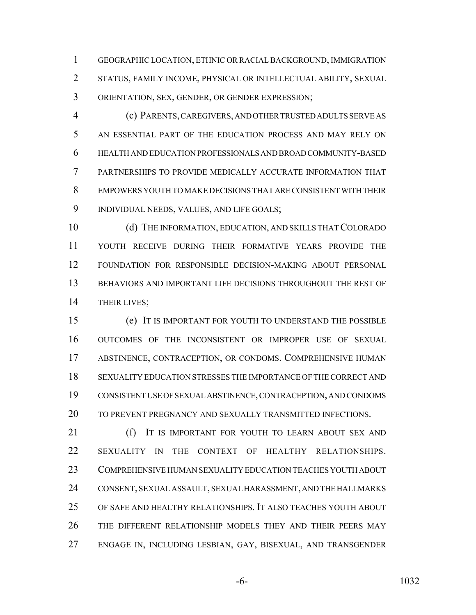GEOGRAPHIC LOCATION, ETHNIC OR RACIAL BACKGROUND, IMMIGRATION STATUS, FAMILY INCOME, PHYSICAL OR INTELLECTUAL ABILITY, SEXUAL ORIENTATION, SEX, GENDER, OR GENDER EXPRESSION;

 (c) PARENTS, CAREGIVERS, AND OTHER TRUSTED ADULTS SERVE AS AN ESSENTIAL PART OF THE EDUCATION PROCESS AND MAY RELY ON HEALTH AND EDUCATION PROFESSIONALS AND BROAD COMMUNITY-BASED PARTNERSHIPS TO PROVIDE MEDICALLY ACCURATE INFORMATION THAT EMPOWERS YOUTH TO MAKE DECISIONS THAT ARE CONSISTENT WITH THEIR INDIVIDUAL NEEDS, VALUES, AND LIFE GOALS;

 (d) THE INFORMATION, EDUCATION, AND SKILLS THAT COLORADO YOUTH RECEIVE DURING THEIR FORMATIVE YEARS PROVIDE THE FOUNDATION FOR RESPONSIBLE DECISION-MAKING ABOUT PERSONAL BEHAVIORS AND IMPORTANT LIFE DECISIONS THROUGHOUT THE REST OF THEIR LIVES;

 (e) IT IS IMPORTANT FOR YOUTH TO UNDERSTAND THE POSSIBLE OUTCOMES OF THE INCONSISTENT OR IMPROPER USE OF SEXUAL ABSTINENCE, CONTRACEPTION, OR CONDOMS. COMPREHENSIVE HUMAN SEXUALITY EDUCATION STRESSES THE IMPORTANCE OF THE CORRECT AND CONSISTENT USE OF SEXUAL ABSTINENCE, CONTRACEPTION, AND CONDOMS TO PREVENT PREGNANCY AND SEXUALLY TRANSMITTED INFECTIONS.

**(f)** IT IS IMPORTANT FOR YOUTH TO LEARN ABOUT SEX AND SEXUALITY IN THE CONTEXT OF HEALTHY RELATIONSHIPS. COMPREHENSIVE HUMAN SEXUALITY EDUCATION TEACHES YOUTH ABOUT CONSENT, SEXUAL ASSAULT, SEXUAL HARASSMENT, AND THE HALLMARKS OF SAFE AND HEALTHY RELATIONSHIPS. IT ALSO TEACHES YOUTH ABOUT THE DIFFERENT RELATIONSHIP MODELS THEY AND THEIR PEERS MAY ENGAGE IN, INCLUDING LESBIAN, GAY, BISEXUAL, AND TRANSGENDER

-6- 1032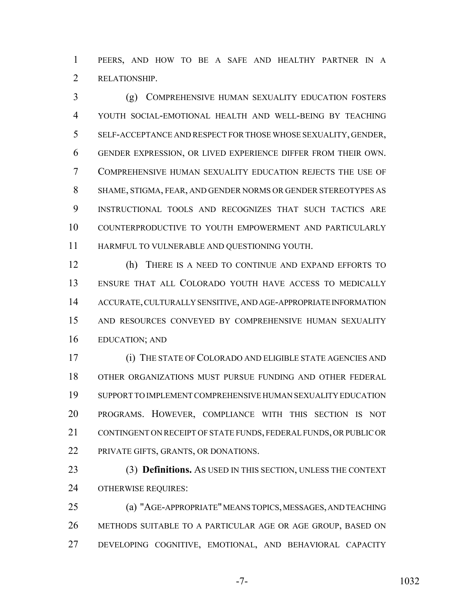PEERS, AND HOW TO BE A SAFE AND HEALTHY PARTNER IN A RELATIONSHIP.

 (g) COMPREHENSIVE HUMAN SEXUALITY EDUCATION FOSTERS YOUTH SOCIAL-EMOTIONAL HEALTH AND WELL-BEING BY TEACHING SELF-ACCEPTANCE AND RESPECT FOR THOSE WHOSE SEXUALITY, GENDER, GENDER EXPRESSION, OR LIVED EXPERIENCE DIFFER FROM THEIR OWN. COMPREHENSIVE HUMAN SEXUALITY EDUCATION REJECTS THE USE OF SHAME, STIGMA, FEAR, AND GENDER NORMS OR GENDER STEREOTYPES AS INSTRUCTIONAL TOOLS AND RECOGNIZES THAT SUCH TACTICS ARE COUNTERPRODUCTIVE TO YOUTH EMPOWERMENT AND PARTICULARLY HARMFUL TO VULNERABLE AND QUESTIONING YOUTH.

 (h) THERE IS A NEED TO CONTINUE AND EXPAND EFFORTS TO ENSURE THAT ALL COLORADO YOUTH HAVE ACCESS TO MEDICALLY ACCURATE, CULTURALLY SENSITIVE, AND AGE-APPROPRIATE INFORMATION AND RESOURCES CONVEYED BY COMPREHENSIVE HUMAN SEXUALITY EDUCATION; AND

 (i) THE STATE OF COLORADO AND ELIGIBLE STATE AGENCIES AND OTHER ORGANIZATIONS MUST PURSUE FUNDING AND OTHER FEDERAL SUPPORT TO IMPLEMENT COMPREHENSIVE HUMAN SEXUALITY EDUCATION PROGRAMS. HOWEVER, COMPLIANCE WITH THIS SECTION IS NOT CONTINGENT ON RECEIPT OF STATE FUNDS, FEDERAL FUNDS, OR PUBLIC OR PRIVATE GIFTS, GRANTS, OR DONATIONS.

 (3) **Definitions.** AS USED IN THIS SECTION, UNLESS THE CONTEXT OTHERWISE REQUIRES:

 (a) "AGE-APPROPRIATE" MEANS TOPICS, MESSAGES, AND TEACHING METHODS SUITABLE TO A PARTICULAR AGE OR AGE GROUP, BASED ON DEVELOPING COGNITIVE, EMOTIONAL, AND BEHAVIORAL CAPACITY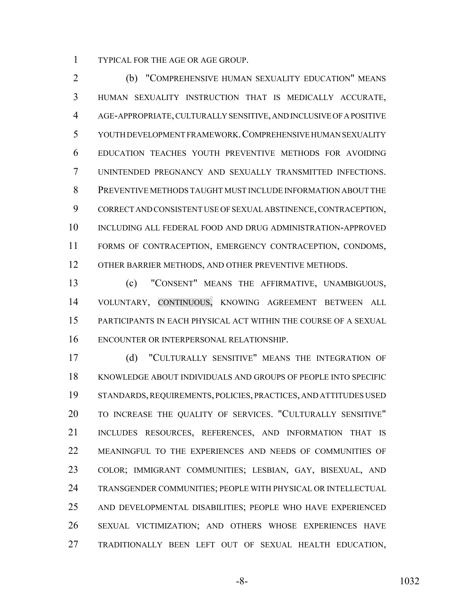TYPICAL FOR THE AGE OR AGE GROUP.

 (b) "COMPREHENSIVE HUMAN SEXUALITY EDUCATION" MEANS HUMAN SEXUALITY INSTRUCTION THAT IS MEDICALLY ACCURATE, AGE-APPROPRIATE, CULTURALLY SENSITIVE, AND INCLUSIVE OF A POSITIVE YOUTH DEVELOPMENT FRAMEWORK.COMPREHENSIVE HUMAN SEXUALITY EDUCATION TEACHES YOUTH PREVENTIVE METHODS FOR AVOIDING UNINTENDED PREGNANCY AND SEXUALLY TRANSMITTED INFECTIONS. PREVENTIVE METHODS TAUGHT MUST INCLUDE INFORMATION ABOUT THE CORRECT AND CONSISTENT USE OF SEXUAL ABSTINENCE, CONTRACEPTION, INCLUDING ALL FEDERAL FOOD AND DRUG ADMINISTRATION-APPROVED FORMS OF CONTRACEPTION, EMERGENCY CONTRACEPTION, CONDOMS, OTHER BARRIER METHODS, AND OTHER PREVENTIVE METHODS.

 (c) "CONSENT" MEANS THE AFFIRMATIVE, UNAMBIGUOUS, VOLUNTARY, CONTINUOUS, KNOWING AGREEMENT BETWEEN ALL PARTICIPANTS IN EACH PHYSICAL ACT WITHIN THE COURSE OF A SEXUAL ENCOUNTER OR INTERPERSONAL RELATIONSHIP.

 (d) "CULTURALLY SENSITIVE" MEANS THE INTEGRATION OF KNOWLEDGE ABOUT INDIVIDUALS AND GROUPS OF PEOPLE INTO SPECIFIC STANDARDS, REQUIREMENTS, POLICIES, PRACTICES, AND ATTITUDES USED TO INCREASE THE QUALITY OF SERVICES. "CULTURALLY SENSITIVE" INCLUDES RESOURCES, REFERENCES, AND INFORMATION THAT IS MEANINGFUL TO THE EXPERIENCES AND NEEDS OF COMMUNITIES OF COLOR; IMMIGRANT COMMUNITIES; LESBIAN, GAY, BISEXUAL, AND TRANSGENDER COMMUNITIES; PEOPLE WITH PHYSICAL OR INTELLECTUAL AND DEVELOPMENTAL DISABILITIES; PEOPLE WHO HAVE EXPERIENCED SEXUAL VICTIMIZATION; AND OTHERS WHOSE EXPERIENCES HAVE TRADITIONALLY BEEN LEFT OUT OF SEXUAL HEALTH EDUCATION,

-8- 1032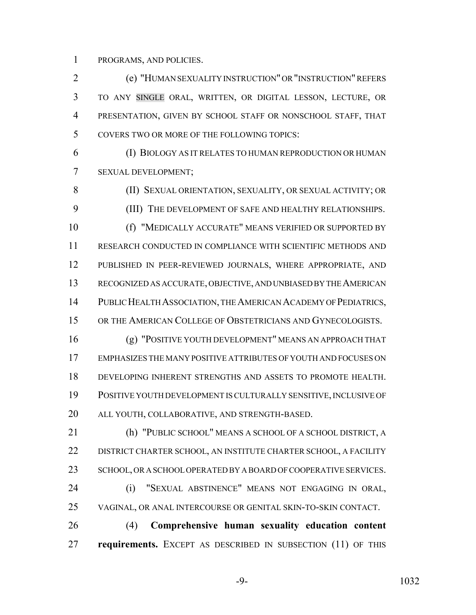PROGRAMS, AND POLICIES.

 (e) "HUMAN SEXUALITY INSTRUCTION" OR "INSTRUCTION" REFERS TO ANY SINGLE ORAL, WRITTEN, OR DIGITAL LESSON, LECTURE, OR PRESENTATION, GIVEN BY SCHOOL STAFF OR NONSCHOOL STAFF, THAT COVERS TWO OR MORE OF THE FOLLOWING TOPICS:

 (I) BIOLOGY AS IT RELATES TO HUMAN REPRODUCTION OR HUMAN SEXUAL DEVELOPMENT;

 (II) SEXUAL ORIENTATION, SEXUALITY, OR SEXUAL ACTIVITY; OR (III) THE DEVELOPMENT OF SAFE AND HEALTHY RELATIONSHIPS. (f) "MEDICALLY ACCURATE" MEANS VERIFIED OR SUPPORTED BY RESEARCH CONDUCTED IN COMPLIANCE WITH SCIENTIFIC METHODS AND PUBLISHED IN PEER-REVIEWED JOURNALS, WHERE APPROPRIATE, AND RECOGNIZED AS ACCURATE, OBJECTIVE, AND UNBIASED BY THE AMERICAN PUBLIC HEALTH ASSOCIATION, THE AMERICAN ACADEMY OF PEDIATRICS, 15 OR THE AMERICAN COLLEGE OF OBSTETRICIANS AND GYNECOLOGISTS.

 (g) "POSITIVE YOUTH DEVELOPMENT" MEANS AN APPROACH THAT EMPHASIZES THE MANY POSITIVE ATTRIBUTES OF YOUTH AND FOCUSES ON DEVELOPING INHERENT STRENGTHS AND ASSETS TO PROMOTE HEALTH. POSITIVE YOUTH DEVELOPMENT IS CULTURALLY SENSITIVE, INCLUSIVE OF ALL YOUTH, COLLABORATIVE, AND STRENGTH-BASED.

 (h) "PUBLIC SCHOOL" MEANS A SCHOOL OF A SCHOOL DISTRICT, A DISTRICT CHARTER SCHOOL, AN INSTITUTE CHARTER SCHOOL, A FACILITY 23 SCHOOL, OR A SCHOOL OPERATED BY A BOARD OF COOPERATIVE SERVICES. (i) "SEXUAL ABSTINENCE" MEANS NOT ENGAGING IN ORAL, VAGINAL, OR ANAL INTERCOURSE OR GENITAL SKIN-TO-SKIN CONTACT.

 (4) **Comprehensive human sexuality education content requirements.** EXCEPT AS DESCRIBED IN SUBSECTION (11) OF THIS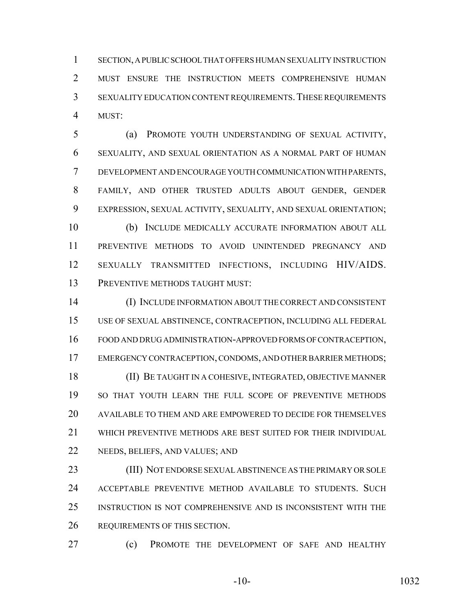SECTION, A PUBLIC SCHOOL THAT OFFERS HUMAN SEXUALITY INSTRUCTION MUST ENSURE THE INSTRUCTION MEETS COMPREHENSIVE HUMAN SEXUALITY EDUCATION CONTENT REQUIREMENTS.THESE REQUIREMENTS MUST:

 (a) PROMOTE YOUTH UNDERSTANDING OF SEXUAL ACTIVITY, SEXUALITY, AND SEXUAL ORIENTATION AS A NORMAL PART OF HUMAN DEVELOPMENT AND ENCOURAGE YOUTH COMMUNICATION WITH PARENTS, FAMILY, AND OTHER TRUSTED ADULTS ABOUT GENDER, GENDER EXPRESSION, SEXUAL ACTIVITY, SEXUALITY, AND SEXUAL ORIENTATION; (b) INCLUDE MEDICALLY ACCURATE INFORMATION ABOUT ALL

 PREVENTIVE METHODS TO AVOID UNINTENDED PREGNANCY AND SEXUALLY TRANSMITTED INFECTIONS, INCLUDING HIV/AIDS. 13 PREVENTIVE METHODS TAUGHT MUST:

 (I) INCLUDE INFORMATION ABOUT THE CORRECT AND CONSISTENT USE OF SEXUAL ABSTINENCE, CONTRACEPTION, INCLUDING ALL FEDERAL FOOD AND DRUG ADMINISTRATION-APPROVED FORMS OF CONTRACEPTION, EMERGENCY CONTRACEPTION, CONDOMS, AND OTHER BARRIER METHODS; (II) BE TAUGHT IN A COHESIVE, INTEGRATED, OBJECTIVE MANNER SO THAT YOUTH LEARN THE FULL SCOPE OF PREVENTIVE METHODS AVAILABLE TO THEM AND ARE EMPOWERED TO DECIDE FOR THEMSELVES WHICH PREVENTIVE METHODS ARE BEST SUITED FOR THEIR INDIVIDUAL NEEDS, BELIEFS, AND VALUES; AND

 (III) NOT ENDORSE SEXUAL ABSTINENCE AS THE PRIMARY OR SOLE ACCEPTABLE PREVENTIVE METHOD AVAILABLE TO STUDENTS. SUCH INSTRUCTION IS NOT COMPREHENSIVE AND IS INCONSISTENT WITH THE REQUIREMENTS OF THIS SECTION.

(c) PROMOTE THE DEVELOPMENT OF SAFE AND HEALTHY

-10- 1032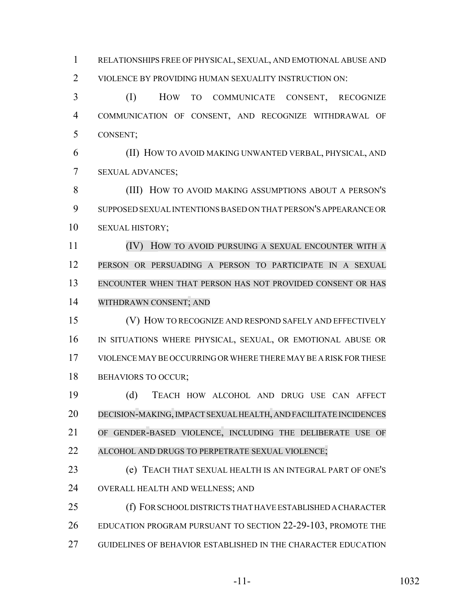RELATIONSHIPS FREE OF PHYSICAL, SEXUAL, AND EMOTIONAL ABUSE AND VIOLENCE BY PROVIDING HUMAN SEXUALITY INSTRUCTION ON:

 (I) HOW TO COMMUNICATE CONSENT, RECOGNIZE COMMUNICATION OF CONSENT, AND RECOGNIZE WITHDRAWAL OF CONSENT;

 (II) HOW TO AVOID MAKING UNWANTED VERBAL, PHYSICAL, AND SEXUAL ADVANCES;

**(III)** HOW TO AVOID MAKING ASSUMPTIONS ABOUT A PERSON'S SUPPOSED SEXUAL INTENTIONS BASED ON THAT PERSON'S APPEARANCE OR SEXUAL HISTORY;

 (IV) HOW TO AVOID PURSUING A SEXUAL ENCOUNTER WITH A PERSON OR PERSUADING A PERSON TO PARTICIPATE IN A SEXUAL ENCOUNTER WHEN THAT PERSON HAS NOT PROVIDED CONSENT OR HAS WITHDRAWN CONSENT; AND

 (V) HOW TO RECOGNIZE AND RESPOND SAFELY AND EFFECTIVELY IN SITUATIONS WHERE PHYSICAL, SEXUAL, OR EMOTIONAL ABUSE OR VIOLENCE MAY BE OCCURRING OR WHERE THERE MAY BE A RISK FOR THESE 18 BEHAVIORS TO OCCUR;

 (d) TEACH HOW ALCOHOL AND DRUG USE CAN AFFECT DECISION-MAKING,IMPACT SEXUAL HEALTH, AND FACILITATE INCIDENCES OF GENDER-BASED VIOLENCE, INCLUDING THE DELIBERATE USE OF ALCOHOL AND DRUGS TO PERPETRATE SEXUAL VIOLENCE;

 (e) TEACH THAT SEXUAL HEALTH IS AN INTEGRAL PART OF ONE'S OVERALL HEALTH AND WELLNESS; AND

 (f) FOR SCHOOL DISTRICTS THAT HAVE ESTABLISHED A CHARACTER EDUCATION PROGRAM PURSUANT TO SECTION 22-29-103, PROMOTE THE GUIDELINES OF BEHAVIOR ESTABLISHED IN THE CHARACTER EDUCATION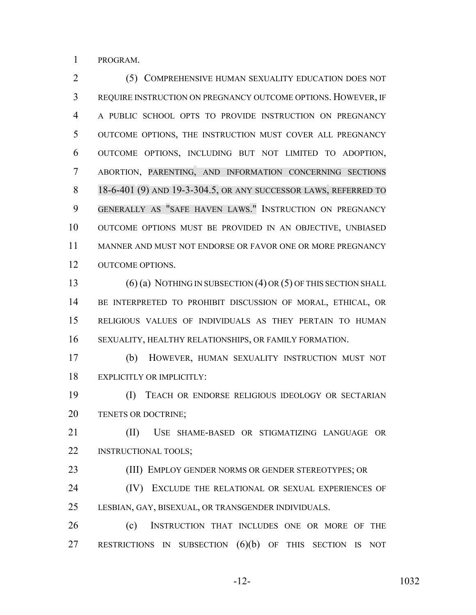PROGRAM.

 (5) COMPREHENSIVE HUMAN SEXUALITY EDUCATION DOES NOT REQUIRE INSTRUCTION ON PREGNANCY OUTCOME OPTIONS. HOWEVER, IF A PUBLIC SCHOOL OPTS TO PROVIDE INSTRUCTION ON PREGNANCY OUTCOME OPTIONS, THE INSTRUCTION MUST COVER ALL PREGNANCY OUTCOME OPTIONS, INCLUDING BUT NOT LIMITED TO ADOPTION, ABORTION, PARENTING, AND INFORMATION CONCERNING SECTIONS 18-6-401 (9) AND 19-3-304.5, OR ANY SUCCESSOR LAWS, REFERRED TO GENERALLY AS "SAFE HAVEN LAWS." INSTRUCTION ON PREGNANCY OUTCOME OPTIONS MUST BE PROVIDED IN AN OBJECTIVE, UNBIASED MANNER AND MUST NOT ENDORSE OR FAVOR ONE OR MORE PREGNANCY 12 OUTCOME OPTIONS.

 (6) (a) NOTHING IN SUBSECTION (4) OR (5) OF THIS SECTION SHALL BE INTERPRETED TO PROHIBIT DISCUSSION OF MORAL, ETHICAL, OR RELIGIOUS VALUES OF INDIVIDUALS AS THEY PERTAIN TO HUMAN SEXUALITY, HEALTHY RELATIONSHIPS, OR FAMILY FORMATION.

 (b) HOWEVER, HUMAN SEXUALITY INSTRUCTION MUST NOT EXPLICITLY OR IMPLICITLY:

 (I) TEACH OR ENDORSE RELIGIOUS IDEOLOGY OR SECTARIAN TENETS OR DOCTRINE;

 (II) USE SHAME-BASED OR STIGMATIZING LANGUAGE OR INSTRUCTIONAL TOOLS;

(III) EMPLOY GENDER NORMS OR GENDER STEREOTYPES; OR

24 (IV) EXCLUDE THE RELATIONAL OR SEXUAL EXPERIENCES OF LESBIAN, GAY, BISEXUAL, OR TRANSGENDER INDIVIDUALS.

 (c) INSTRUCTION THAT INCLUDES ONE OR MORE OF THE RESTRICTIONS IN SUBSECTION (6)(b) OF THIS SECTION IS NOT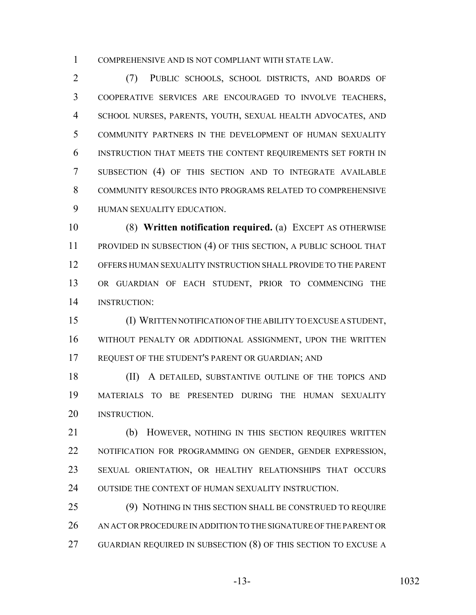COMPREHENSIVE AND IS NOT COMPLIANT WITH STATE LAW.

 (7) PUBLIC SCHOOLS, SCHOOL DISTRICTS, AND BOARDS OF COOPERATIVE SERVICES ARE ENCOURAGED TO INVOLVE TEACHERS, SCHOOL NURSES, PARENTS, YOUTH, SEXUAL HEALTH ADVOCATES, AND COMMUNITY PARTNERS IN THE DEVELOPMENT OF HUMAN SEXUALITY INSTRUCTION THAT MEETS THE CONTENT REQUIREMENTS SET FORTH IN SUBSECTION (4) OF THIS SECTION AND TO INTEGRATE AVAILABLE COMMUNITY RESOURCES INTO PROGRAMS RELATED TO COMPREHENSIVE HUMAN SEXUALITY EDUCATION.

 (8) **Written notification required.** (a) EXCEPT AS OTHERWISE PROVIDED IN SUBSECTION (4) OF THIS SECTION, A PUBLIC SCHOOL THAT OFFERS HUMAN SEXUALITY INSTRUCTION SHALL PROVIDE TO THE PARENT OR GUARDIAN OF EACH STUDENT, PRIOR TO COMMENCING THE INSTRUCTION:

 (I) WRITTEN NOTIFICATION OF THE ABILITY TO EXCUSE A STUDENT, WITHOUT PENALTY OR ADDITIONAL ASSIGNMENT, UPON THE WRITTEN REQUEST OF THE STUDENT'S PARENT OR GUARDIAN; AND

18 (II) A DETAILED, SUBSTANTIVE OUTLINE OF THE TOPICS AND MATERIALS TO BE PRESENTED DURING THE HUMAN SEXUALITY INSTRUCTION.

21 (b) HOWEVER, NOTHING IN THIS SECTION REQUIRES WRITTEN NOTIFICATION FOR PROGRAMMING ON GENDER, GENDER EXPRESSION, SEXUAL ORIENTATION, OR HEALTHY RELATIONSHIPS THAT OCCURS 24 OUTSIDE THE CONTEXT OF HUMAN SEXUALITY INSTRUCTION.

 (9) NOTHING IN THIS SECTION SHALL BE CONSTRUED TO REQUIRE 26 AN ACT OR PROCEDURE IN ADDITION TO THE SIGNATURE OF THE PARENT OR GUARDIAN REQUIRED IN SUBSECTION (8) OF THIS SECTION TO EXCUSE A

$$
-13
$$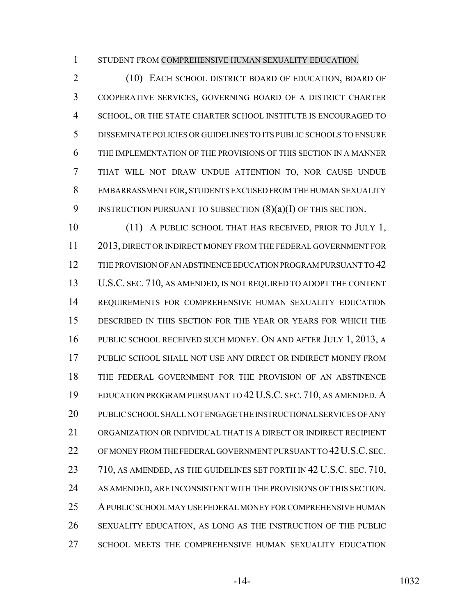STUDENT FROM COMPREHENSIVE HUMAN SEXUALITY EDUCATION.

 (10) EACH SCHOOL DISTRICT BOARD OF EDUCATION, BOARD OF COOPERATIVE SERVICES, GOVERNING BOARD OF A DISTRICT CHARTER SCHOOL, OR THE STATE CHARTER SCHOOL INSTITUTE IS ENCOURAGED TO DISSEMINATE POLICIES OR GUIDELINES TO ITS PUBLIC SCHOOLS TO ENSURE THE IMPLEMENTATION OF THE PROVISIONS OF THIS SECTION IN A MANNER THAT WILL NOT DRAW UNDUE ATTENTION TO, NOR CAUSE UNDUE EMBARRASSMENT FOR, STUDENTS EXCUSED FROM THE HUMAN SEXUALITY 9 INSTRUCTION PURSUANT TO SUBSECTION  $(8)(a)(I)$  OF THIS SECTION.

10 (11) A PUBLIC SCHOOL THAT HAS RECEIVED, PRIOR TO JULY 1, 2013, DIRECT OR INDIRECT MONEY FROM THE FEDERAL GOVERNMENT FOR THE PROVISION OF AN ABSTINENCE EDUCATION PROGRAM PURSUANT TO 42 U.S.C. SEC. 710, AS AMENDED, IS NOT REQUIRED TO ADOPT THE CONTENT REQUIREMENTS FOR COMPREHENSIVE HUMAN SEXUALITY EDUCATION DESCRIBED IN THIS SECTION FOR THE YEAR OR YEARS FOR WHICH THE PUBLIC SCHOOL RECEIVED SUCH MONEY. ON AND AFTER JULY 1, 2013, A PUBLIC SCHOOL SHALL NOT USE ANY DIRECT OR INDIRECT MONEY FROM THE FEDERAL GOVERNMENT FOR THE PROVISION OF AN ABSTINENCE EDUCATION PROGRAM PURSUANT TO 42 U.S.C. SEC. 710, AS AMENDED. A PUBLIC SCHOOL SHALL NOT ENGAGE THE INSTRUCTIONAL SERVICES OF ANY ORGANIZATION OR INDIVIDUAL THAT IS A DIRECT OR INDIRECT RECIPIENT OF MONEY FROM THE FEDERAL GOVERNMENT PURSUANT TO 42U.S.C. SEC. 23 710, AS AMENDED, AS THE GUIDELINES SET FORTH IN 42 U.S.C. SEC. 710, AS AMENDED, ARE INCONSISTENT WITH THE PROVISIONS OF THIS SECTION. A PUBLIC SCHOOL MAY USE FEDERAL MONEY FOR COMPREHENSIVE HUMAN SEXUALITY EDUCATION, AS LONG AS THE INSTRUCTION OF THE PUBLIC SCHOOL MEETS THE COMPREHENSIVE HUMAN SEXUALITY EDUCATION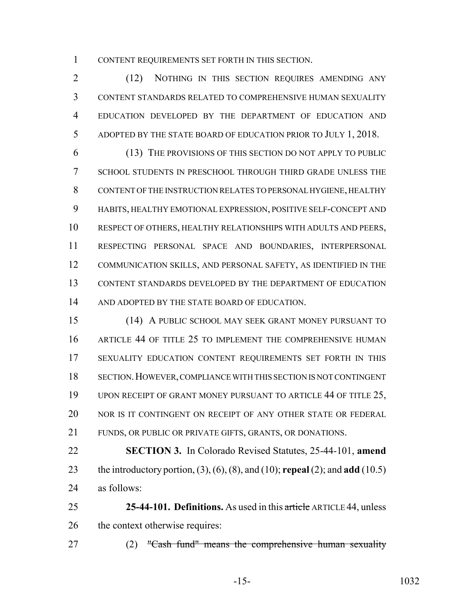CONTENT REQUIREMENTS SET FORTH IN THIS SECTION.

2 (12) NOTHING IN THIS SECTION REQUIRES AMENDING ANY CONTENT STANDARDS RELATED TO COMPREHENSIVE HUMAN SEXUALITY EDUCATION DEVELOPED BY THE DEPARTMENT OF EDUCATION AND ADOPTED BY THE STATE BOARD OF EDUCATION PRIOR TO JULY 1, 2018.

 (13) THE PROVISIONS OF THIS SECTION DO NOT APPLY TO PUBLIC SCHOOL STUDENTS IN PRESCHOOL THROUGH THIRD GRADE UNLESS THE CONTENT OF THE INSTRUCTION RELATES TO PERSONAL HYGIENE, HEALTHY HABITS, HEALTHY EMOTIONAL EXPRESSION, POSITIVE SELF-CONCEPT AND RESPECT OF OTHERS, HEALTHY RELATIONSHIPS WITH ADULTS AND PEERS, RESPECTING PERSONAL SPACE AND BOUNDARIES, INTERPERSONAL COMMUNICATION SKILLS, AND PERSONAL SAFETY, AS IDENTIFIED IN THE CONTENT STANDARDS DEVELOPED BY THE DEPARTMENT OF EDUCATION AND ADOPTED BY THE STATE BOARD OF EDUCATION.

 (14) A PUBLIC SCHOOL MAY SEEK GRANT MONEY PURSUANT TO ARTICLE 44 OF TITLE 25 TO IMPLEMENT THE COMPREHENSIVE HUMAN SEXUALITY EDUCATION CONTENT REQUIREMENTS SET FORTH IN THIS SECTION.HOWEVER, COMPLIANCE WITH THIS SECTION IS NOT CONTINGENT 19 UPON RECEIPT OF GRANT MONEY PURSUANT TO ARTICLE 44 OF TITLE 25, NOR IS IT CONTINGENT ON RECEIPT OF ANY OTHER STATE OR FEDERAL FUNDS, OR PUBLIC OR PRIVATE GIFTS, GRANTS, OR DONATIONS.

 **SECTION 3.** In Colorado Revised Statutes, 25-44-101, **amend** the introductory portion, (3), (6), (8), and (10); **repeal** (2); and **add** (10.5) as follows:

 **25-44-101. Definitions.** As used in this article ARTICLE 44, unless the context otherwise requires:

(2) "Cash fund" means the comprehensive human sexuality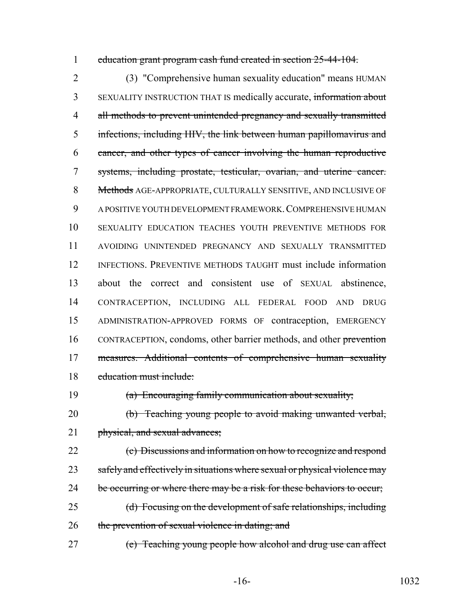education grant program cash fund created in section 25-44-104.

 (3) "Comprehensive human sexuality education" means HUMAN SEXUALITY INSTRUCTION THAT IS medically accurate, information about 4 all methods to prevent unintended pregnancy and sexually transmitted infections, including HIV, the link between human papillomavirus and cancer, and other types of cancer involving the human reproductive systems, including prostate, testicular, ovarian, and uterine cancer. 8 Methods AGE-APPROPRIATE, CULTURALLY SENSITIVE, AND INCLUSIVE OF A POSITIVE YOUTH DEVELOPMENT FRAMEWORK.COMPREHENSIVE HUMAN SEXUALITY EDUCATION TEACHES YOUTH PREVENTIVE METHODS FOR AVOIDING UNINTENDED PREGNANCY AND SEXUALLY TRANSMITTED INFECTIONS. PREVENTIVE METHODS TAUGHT must include information about the correct and consistent use of SEXUAL abstinence, CONTRACEPTION, INCLUDING ALL FEDERAL FOOD AND DRUG ADMINISTRATION-APPROVED FORMS OF contraception, EMERGENCY 16 CONTRACEPTION, condoms, other barrier methods, and other prevention measures. Additional contents of comprehensive human sexuality education must include:

(a) Encouraging family communication about sexuality;

 (b) Teaching young people to avoid making unwanted verbal, 21 physical, and sexual advances;

 (c) Discussions and information on how to recognize and respond 23 safely and effectively in situations where sexual or physical violence may 24 be occurring or where there may be a risk for these behaviors to occur; (d) Focusing on the development of safe relationships, including

26 the prevention of sexual violence in dating; and

(e) Teaching young people how alcohol and drug use can affect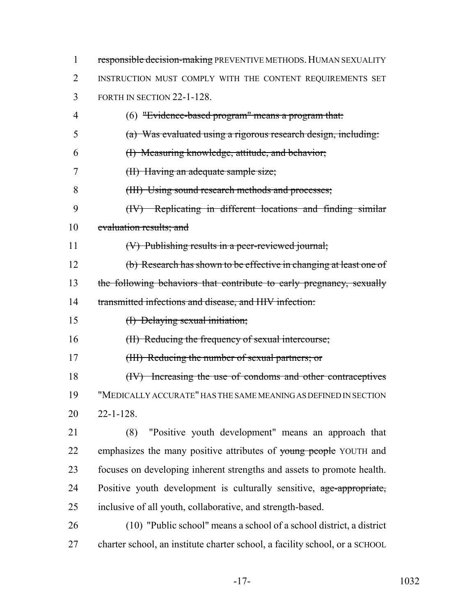| 1  | responsible decision-making PREVENTIVE METHODS. HUMAN SEXUALITY             |
|----|-----------------------------------------------------------------------------|
| 2  | INSTRUCTION MUST COMPLY WITH THE CONTENT REQUIREMENTS SET                   |
| 3  | FORTH IN SECTION 22-1-128.                                                  |
| 4  | $(6)$ "Evidence-based program" means a program that:                        |
| 5  | $(a)$ Was evaluated using a rigorous research design, including:            |
| 6  | (I) Measuring knowledge, attitude, and behavior;                            |
| 7  | (II) Having an adequate sample size;                                        |
| 8  | (HI) Using sound research methods and processes;                            |
| 9  | (IV) Replicating in different locations and finding similar                 |
| 10 | evaluation results; and                                                     |
| 11 | (V) Publishing results in a peer-reviewed journal;                          |
| 12 | (b) Research has shown to be effective in changing at least one of          |
| 13 | the following behaviors that contribute to early pregnancy, sexually        |
| 14 | transmitted infections and disease, and HIV infection:                      |
| 15 | (I) Delaying sexual initiation;                                             |
| 16 | (II) Reducing the frequency of sexual intercourse;                          |
| 17 | (III) Reducing the number of sexual partners; or                            |
| 18 | (IV) Increasing the use of condoms and other contraceptives                 |
| 19 | "MEDICALLY ACCURATE" HAS THE SAME MEANING AS DEFINED IN SECTION             |
| 20 | $22 - 1 - 128$ .                                                            |
| 21 | "Positive youth development" means an approach that<br>(8)                  |
| 22 | emphasizes the many positive attributes of young people YOUTH and           |
| 23 | focuses on developing inherent strengths and assets to promote health.      |
| 24 | Positive youth development is culturally sensitive, age-appropriate,        |
| 25 | inclusive of all youth, collaborative, and strength-based.                  |
| 26 | (10) "Public school" means a school of a school district, a district        |
| 27 | charter school, an institute charter school, a facility school, or a SCHOOL |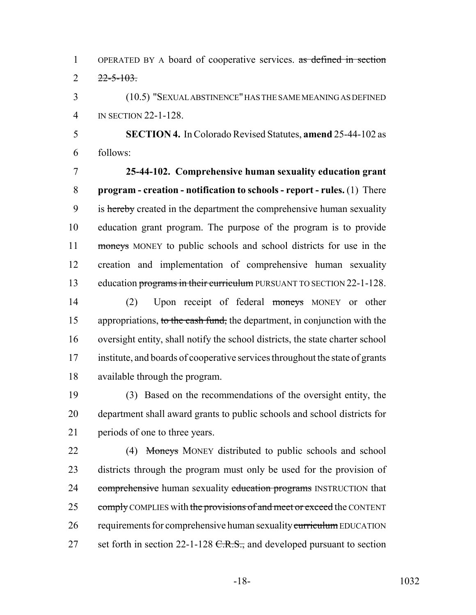OPERATED BY A board of cooperative services. as defined in section  $2 \frac{22 - 5 - 103}{2}$ 

 (10.5) "SEXUAL ABSTINENCE" HAS THE SAME MEANING AS DEFINED IN SECTION 22-1-128.

 **SECTION 4.** In Colorado Revised Statutes, **amend** 25-44-102 as follows:

 **25-44-102. Comprehensive human sexuality education grant program - creation - notification to schools - report - rules.** (1) There 9 is hereby created in the department the comprehensive human sexuality education grant program. The purpose of the program is to provide 11 moneys MONEY to public schools and school districts for use in the creation and implementation of comprehensive human sexuality 13 education programs in their curriculum PURSUANT TO SECTION 22-1-128.

 (2) Upon receipt of federal moneys MONEY or other 15 appropriations, to the cash fund, the department, in conjunction with the oversight entity, shall notify the school districts, the state charter school institute, and boards of cooperative services throughout the state of grants available through the program.

 (3) Based on the recommendations of the oversight entity, the department shall award grants to public schools and school districts for periods of one to three years.

22 (4) Moneys MONEY distributed to public schools and school districts through the program must only be used for the provision of 24 comprehensive human sexuality education programs INSTRUCTION that 25 comply COMPLIES with the provisions of and meet or exceed the CONTENT 26 requirements for comprehensive human sexuality curriculum EDUCATION 27 set forth in section 22-1-128  $C.R.S.,$  and developed pursuant to section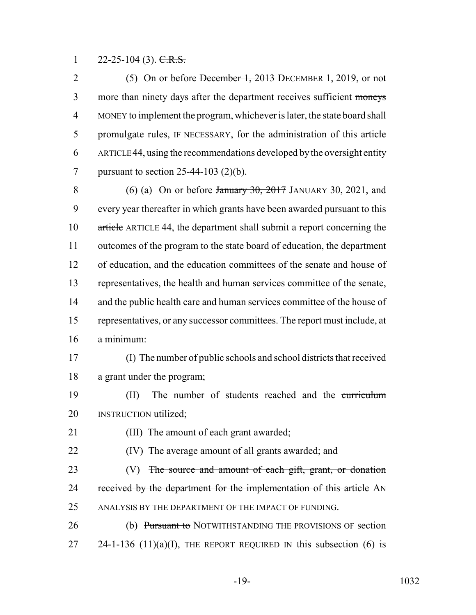1 22-25-104 (3).  $C.R.S.$ 

2 (5) On or before December 1, 2013 DECEMBER 1, 2019, or not 3 more than ninety days after the department receives sufficient moneys MONEY to implement the program, whichever is later, the state board shall 5 promulgate rules, IF NECESSARY, for the administration of this article ARTICLE 44, using the recommendations developed by the oversight entity pursuant to section 25-44-103 (2)(b).

8 (6) (a) On or before  $\frac{1}{20}$  and  $\frac{1}{20}$  JANUARY 30, 2021, and every year thereafter in which grants have been awarded pursuant to this article ARTICLE 44, the department shall submit a report concerning the outcomes of the program to the state board of education, the department of education, and the education committees of the senate and house of representatives, the health and human services committee of the senate, 14 and the public health care and human services committee of the house of representatives, or any successor committees. The report must include, at a minimum:

 (I) The number of public schools and school districts that received a grant under the program;

 (II) The number of students reached and the curriculum **INSTRUCTION utilized**;

(III) The amount of each grant awarded;

(IV) The average amount of all grants awarded; and

23 (V) The source and amount of each gift, grant, or donation 24 received by the department for the implementation of this article AN ANALYSIS BY THE DEPARTMENT OF THE IMPACT OF FUNDING.

26 (b) Pursuant to NOTWITHSTANDING THE PROVISIONS OF section 27 24-1-136 (11)(a)(I), THE REPORT REQUIRED IN this subsection (6) is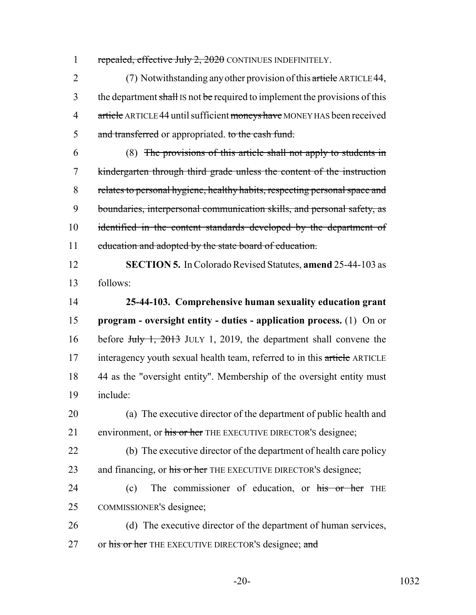1 repealed, effective July 2, 2020 CONTINUES INDEFINITELY.

2 (7) Notwithstanding any other provision of this article ARTICLE 44, 3 the department shall IS not be required to implement the provisions of this 4 article ARTICLE 44 until sufficient moneys have MONEY HAS been received 5 and transferred or appropriated. to the cash fund.

 (8) The provisions of this article shall not apply to students in kindergarten through third grade unless the content of the instruction relates to personal hygiene, healthy habits, respecting personal space and boundaries, interpersonal communication skills, and personal safety, as identified in the content standards developed by the department of 11 education and adopted by the state board of education.

12 **SECTION 5.** In Colorado Revised Statutes, **amend** 25-44-103 as 13 follows:

14 **25-44-103. Comprehensive human sexuality education grant** 15 **program - oversight entity - duties - application process.** (1) On or 16 before Huly 1, 2013 JULY 1, 2019, the department shall convene the 17 interagency youth sexual health team, referred to in this article ARTICLE 18 44 as the "oversight entity". Membership of the oversight entity must 19 include:

20 (a) The executive director of the department of public health and 21 environment, or his or her THE EXECUTIVE DIRECTOR'S designee;

22 (b) The executive director of the department of health care policy 23 and financing, or his or her THE EXECUTIVE DIRECTOR's designee;

24 (c) The commissioner of education, or his or her THE 25 COMMISSIONER'S designee;

26 (d) The executive director of the department of human services, 27 or his or her THE EXECUTIVE DIRECTOR'S designee; and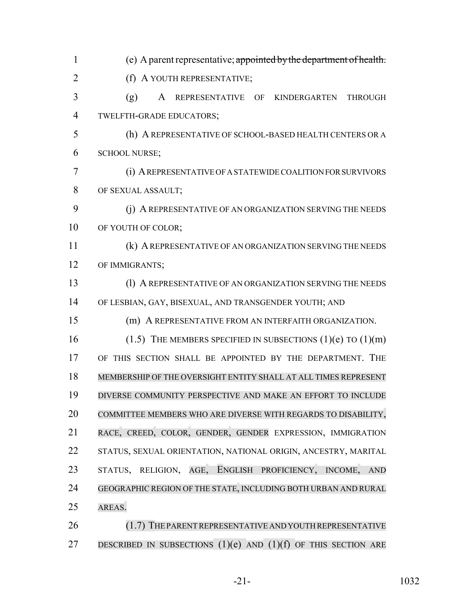| $\mathbf{1}$   | (e) A parent representative; appointed by the department of health.  |
|----------------|----------------------------------------------------------------------|
| $\overline{2}$ | (f) A YOUTH REPRESENTATIVE;                                          |
| 3              | (g)<br>A REPRESENTATIVE OF KINDERGARTEN<br><b>THROUGH</b>            |
| $\overline{4}$ | TWELFTH-GRADE EDUCATORS;                                             |
| 5              | (h) A REPRESENTATIVE OF SCHOOL-BASED HEALTH CENTERS OR A             |
| 6              | <b>SCHOOL NURSE;</b>                                                 |
| 7              | (i) A REPRESENTATIVE OF A STATEWIDE COALITION FOR SURVIVORS          |
| 8              | OF SEXUAL ASSAULT;                                                   |
| 9              | (j) A REPRESENTATIVE OF AN ORGANIZATION SERVING THE NEEDS            |
| 10             | OF YOUTH OF COLOR;                                                   |
| 11             | (k) A REPRESENTATIVE OF AN ORGANIZATION SERVING THE NEEDS            |
| 12             | OF IMMIGRANTS;                                                       |
| 13             | (1) A REPRESENTATIVE OF AN ORGANIZATION SERVING THE NEEDS            |
| 14             | OF LESBIAN, GAY, BISEXUAL, AND TRANSGENDER YOUTH; AND                |
| 15             | (m) A REPRESENTATIVE FROM AN INTERFAITH ORGANIZATION.                |
| 16             | (1.5) THE MEMBERS SPECIFIED IN SUBSECTIONS $(1)(e)$ TO $(1)(m)$      |
| 17             | OF THIS SECTION SHALL BE APPOINTED BY THE DEPARTMENT. THE            |
| 18             | MEMBERSHIP OF THE OVERSIGHT ENTITY SHALL AT ALL TIMES REPRESENT      |
| 19             | DIVERSE COMMUNITY PERSPECTIVE AND MAKE AN EFFORT TO INCLUDE          |
| 20             | COMMITTEE MEMBERS WHO ARE DIVERSE WITH REGARDS TO DISABILITY,        |
| 21             | RACE, CREED, COLOR, GENDER, GENDER EXPRESSION, IMMIGRATION           |
| 22             | STATUS, SEXUAL ORIENTATION, NATIONAL ORIGIN, ANCESTRY, MARITAL       |
| 23             | AGE, ENGLISH PROFICIENCY, INCOME,<br>STATUS, RELIGION,<br><b>AND</b> |
| 24             | GEOGRAPHIC REGION OF THE STATE, INCLUDING BOTH URBAN AND RURAL       |
| 25             | AREAS.                                                               |
| 26             | (1.7) THE PARENT REPRESENTATIVE AND YOUTH REPRESENTATIVE             |
| 27             | DESCRIBED IN SUBSECTIONS $(1)(e)$ AND $(1)(f)$ OF THIS SECTION ARE   |

-21- 1032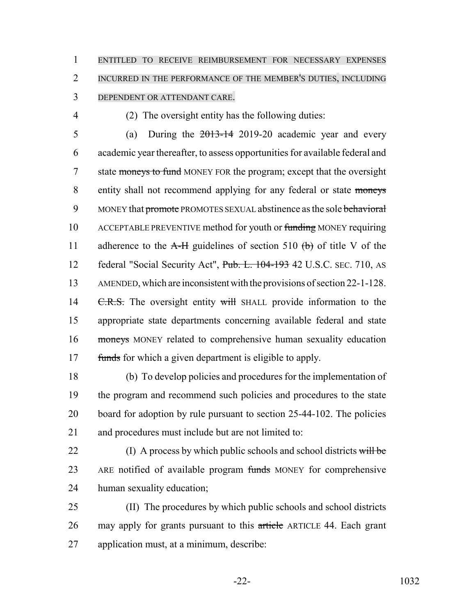ENTITLED TO RECEIVE REIMBURSEMENT FOR NECESSARY EXPENSES INCURRED IN THE PERFORMANCE OF THE MEMBER'S DUTIES, INCLUDING DEPENDENT OR ATTENDANT CARE.

(2) The oversight entity has the following duties:

5 (a) During the  $2013-14$  2019-20 academic year and every academic year thereafter, to assess opportunities for available federal and 7 state moneys to fund MONEY FOR the program; except that the oversight entity shall not recommend applying for any federal or state moneys 9 MONEY that promote PROMOTES SEXUAL abstinence as the sole behavioral ACCEPTABLE PREVENTIVE method for youth or funding MONEY requiring 11 adherence to the  $A-H$  guidelines of section 510 (b) of title V of the federal "Social Security Act", Pub. L. 104-193 42 U.S.C. SEC. 710, AS AMENDED, which are inconsistent with the provisions of section 22-1-128. 14 C.R.S. The oversight entity will shall provide information to the appropriate state departments concerning available federal and state moneys MONEY related to comprehensive human sexuality education 17 funds for which a given department is eligible to apply.

 (b) To develop policies and procedures for the implementation of the program and recommend such policies and procedures to the state board for adoption by rule pursuant to section 25-44-102. The policies and procedures must include but are not limited to:

22 (I) A process by which public schools and school districts will be 23 ARE notified of available program funds MONEY for comprehensive human sexuality education;

 (II) The procedures by which public schools and school districts 26 may apply for grants pursuant to this article ARTICLE 44. Each grant application must, at a minimum, describe: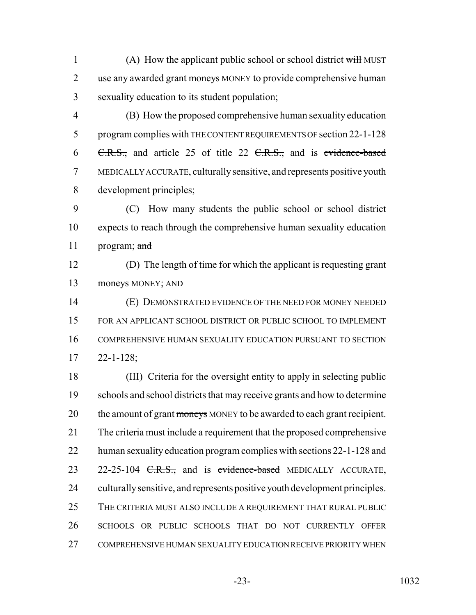1 (A) How the applicant public school or school district will MUST 2 use any awarded grant moneys MONEY to provide comprehensive human sexuality education to its student population;

 (B) How the proposed comprehensive human sexuality education program complies with THE CONTENT REQUIREMENTS OF section 22-1-128  $\text{C.R.S.},$  and article 25 of title 22  $\text{C.R.S.},$  and is evidence-based MEDICALLY ACCURATE, culturally sensitive, and represents positive youth development principles;

 (C) How many students the public school or school district expects to reach through the comprehensive human sexuality education 11 program; and

 (D) The length of time for which the applicant is requesting grant 13 moneys MONEY; AND

 (E) DEMONSTRATED EVIDENCE OF THE NEED FOR MONEY NEEDED FOR AN APPLICANT SCHOOL DISTRICT OR PUBLIC SCHOOL TO IMPLEMENT COMPREHENSIVE HUMAN SEXUALITY EDUCATION PURSUANT TO SECTION 22-1-128;

 (III) Criteria for the oversight entity to apply in selecting public schools and school districts that may receive grants and how to determine 20 the amount of grant moneys MONEY to be awarded to each grant recipient. The criteria must include a requirement that the proposed comprehensive human sexuality education program complies with sections 22-1-128 and 23 22-25-104 <del>C.R.S.,</del> and is evidence-based MEDICALLY ACCURATE, culturally sensitive, and represents positive youth development principles. THE CRITERIA MUST ALSO INCLUDE A REQUIREMENT THAT RURAL PUBLIC SCHOOLS OR PUBLIC SCHOOLS THAT DO NOT CURRENTLY OFFER COMPREHENSIVE HUMAN SEXUALITY EDUCATION RECEIVE PRIORITY WHEN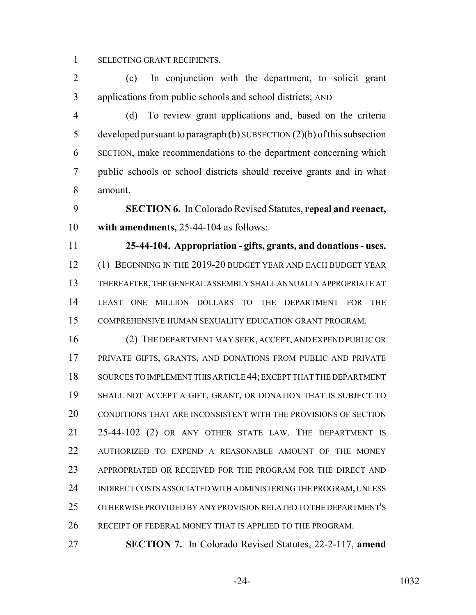SELECTING GRANT RECIPIENTS.

 (c) In conjunction with the department, to solicit grant applications from public schools and school districts; AND

 (d) To review grant applications and, based on the criteria 5 developed pursuant to paragraph  $(b)$  SUBSECTION  $(2)(b)$  of this subsection SECTION, make recommendations to the department concerning which public schools or school districts should receive grants and in what amount.

 **SECTION 6.** In Colorado Revised Statutes, **repeal and reenact, with amendments,** 25-44-104 as follows:

 **25-44-104. Appropriation - gifts, grants, and donations - uses.** 12 (1) BEGINNING IN THE 2019-20 BUDGET YEAR AND EACH BUDGET YEAR THEREAFTER, THE GENERAL ASSEMBLY SHALL ANNUALLY APPROPRIATE AT LEAST ONE MILLION DOLLARS TO THE DEPARTMENT FOR THE COMPREHENSIVE HUMAN SEXUALITY EDUCATION GRANT PROGRAM.

 (2) THE DEPARTMENT MAY SEEK, ACCEPT, AND EXPEND PUBLIC OR PRIVATE GIFTS, GRANTS, AND DONATIONS FROM PUBLIC AND PRIVATE SOURCES TO IMPLEMENT THIS ARTICLE 44; EXCEPT THAT THE DEPARTMENT SHALL NOT ACCEPT A GIFT, GRANT, OR DONATION THAT IS SUBJECT TO CONDITIONS THAT ARE INCONSISTENT WITH THE PROVISIONS OF SECTION 25-44-102 (2) OR ANY OTHER STATE LAW. THE DEPARTMENT IS AUTHORIZED TO EXPEND A REASONABLE AMOUNT OF THE MONEY APPROPRIATED OR RECEIVED FOR THE PROGRAM FOR THE DIRECT AND INDIRECT COSTS ASSOCIATED WITH ADMINISTERING THE PROGRAM, UNLESS OTHERWISE PROVIDED BY ANY PROVISION RELATED TO THE DEPARTMENT'S RECEIPT OF FEDERAL MONEY THAT IS APPLIED TO THE PROGRAM.

**SECTION 7.** In Colorado Revised Statutes, 22-2-117, **amend**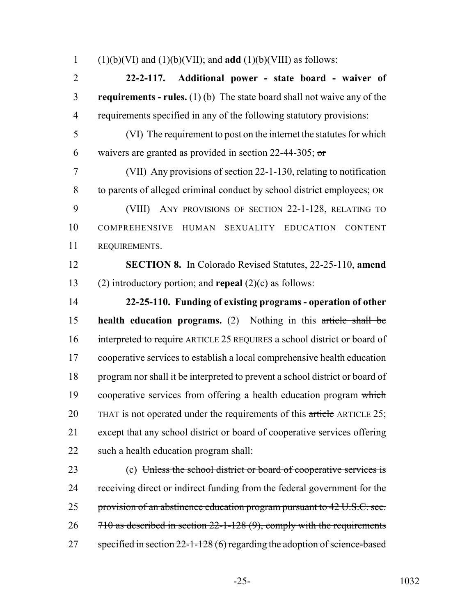1 (1)(b)(VI) and (1)(b)(VII); and **add** (1)(b)(VIII) as follows:

 **22-2-117. Additional power - state board - waiver of requirements - rules.** (1) (b) The state board shall not waive any of the requirements specified in any of the following statutory provisions:

 (VI) The requirement to post on the internet the statutes for which 6 waivers are granted as provided in section 22-44-305;  $\sigma$ 

 (VII) Any provisions of section 22-1-130, relating to notification to parents of alleged criminal conduct by school district employees; OR

 (VIII) ANY PROVISIONS OF SECTION 22-1-128, RELATING TO COMPREHENSIVE HUMAN SEXUALITY EDUCATION CONTENT REQUIREMENTS.

 **SECTION 8.** In Colorado Revised Statutes, 22-25-110, **amend** (2) introductory portion; and **repeal** (2)(c) as follows:

 **22-25-110. Funding of existing programs - operation of other health education programs.** (2) Nothing in this article shall be interpreted to require ARTICLE 25 REQUIRES a school district or board of cooperative services to establish a local comprehensive health education program nor shall it be interpreted to prevent a school district or board of 19 cooperative services from offering a health education program which 20 THAT is not operated under the requirements of this article ARTICLE 25; except that any school district or board of cooperative services offering such a health education program shall:

 (c) Unless the school district or board of cooperative services is 24 receiving direct or indirect funding from the federal government for the 25 provision of an abstinence education program pursuant to 42 U.S.C. sec. 26 710 as described in section 22-1-128 (9), comply with the requirements 27 specified in section 22-1-128 (6) regarding the adoption of science-based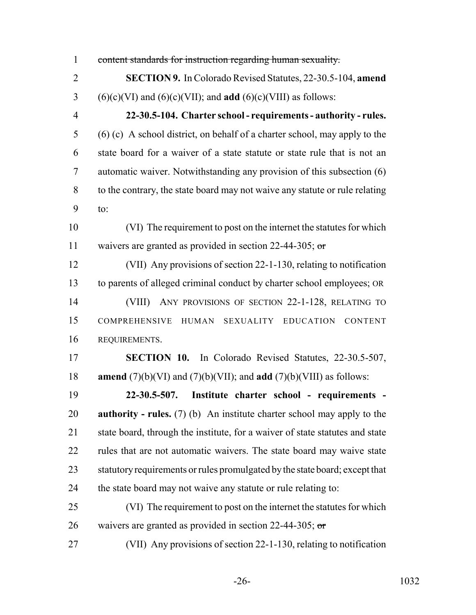content standards for instruction regarding human sexuality. **SECTION 9.** In Colorado Revised Statutes, 22-30.5-104, **amend** (6)(c)(VI) and (6)(c)(VII); and **add** (6)(c)(VIII) as follows: **22-30.5-104. Charter school - requirements - authority - rules.** (6) (c) A school district, on behalf of a charter school, may apply to the state board for a waiver of a state statute or state rule that is not an automatic waiver. Notwithstanding any provision of this subsection (6) to the contrary, the state board may not waive any statute or rule relating to: (VI) The requirement to post on the internet the statutes for which 11 waivers are granted as provided in section 22-44-305; or (VII) Any provisions of section 22-1-130, relating to notification to parents of alleged criminal conduct by charter school employees; OR (VIII) ANY PROVISIONS OF SECTION 22-1-128, RELATING TO COMPREHENSIVE HUMAN SEXUALITY EDUCATION CONTENT REQUIREMENTS. **SECTION 10.** In Colorado Revised Statutes, 22-30.5-507, **amend** (7)(b)(VI) and (7)(b)(VII); and **add** (7)(b)(VIII) as follows: **22-30.5-507. Institute charter school - requirements - authority - rules.** (7) (b) An institute charter school may apply to the state board, through the institute, for a waiver of state statutes and state rules that are not automatic waivers. The state board may waive state statutory requirements or rules promulgated by the state board; except that the state board may not waive any statute or rule relating to: (VI) The requirement to post on the internet the statutes for which 26 waivers are granted as provided in section 22-44-305;  $\sigma$ (VII) Any provisions of section 22-1-130, relating to notification